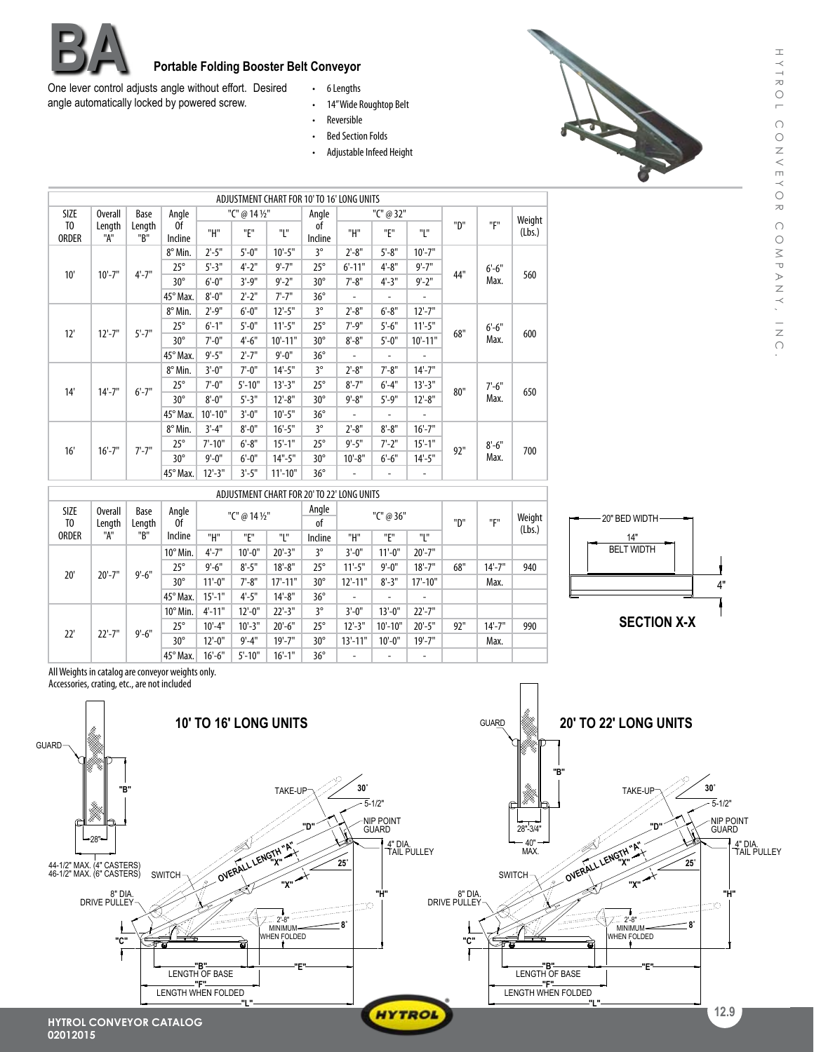

## **Portable Folding Booster Belt Conveyor**<br>is angle without effort. Desired . 6 Lengths

One lever control adjusts angle without effort. Desired angle automatically locked by powered screw.

- 6 Lengths
- • 14"Wide Roughtop Belt
- • Reversible
- Bed Section Folds
- Adjustable Infeed Height



|                                |               |               |               |                         |            | ADJUSTMENT CHART FOR 10' TO 16' LONG UNITS |               |                          |                          |             |     |                  |        |
|--------------------------------|---------------|---------------|---------------|-------------------------|------------|--------------------------------------------|---------------|--------------------------|--------------------------|-------------|-----|------------------|--------|
| SIZE<br><b>Overall</b>         |               | Base          | Angle         | "C" @ 14 1/2"           |            |                                            | Angle         | "C" @ 32"                |                          |             |     |                  | Weight |
| T <sub>0</sub><br><b>ORDER</b> | Length<br>"A" | Length<br>"B" | 0f<br>Incline | "H"                     | "F"        | "L"                                        | of<br>Incline | "H"                      | "F"                      | "Е"         | "D" | "F"              | (Lbs.) |
| 10'                            | $10'-7"$      | $4'-7"$       | 8° Min.       | $2^{\circ} - 5^{\circ}$ | $5 - 0$ "  | $10'-5"$                                   | 3°            | $2'-8''$                 | $5' - 8''$               | $10'-7"$    | 44" | $6'-6''$<br>Max. | 560    |
|                                |               |               | $25^\circ$    | $5' - 3''$              | $4 - 2"$   | $9' - 7"$                                  | $25^\circ$    | $6' - 11"$               | $4 - 8"$                 | $9' - 7"$   |     |                  |        |
|                                |               |               | $30^\circ$    | $6'-0''$                | $3'-9''$   | $9' - 2''$                                 | $30^{\circ}$  | $7 - 8"$                 | $4 - 3$ "                | $9' - 2''$  |     |                  |        |
|                                |               |               | 45° Max.      | $8'-0''$                | $2 - 2"$   | $7 - 7"$                                   | $36^{\circ}$  | ٠                        | $\overline{\phantom{a}}$ | ٠           |     |                  |        |
|                                | $12'-7$ "     | $5' - 7''$    | 8° Min.       | $2'-9''$                | $6'-0''$   | $12'-5"$                                   | 3°            | $2'-8''$                 | $6' - 8''$               | $12'-7"$    | 68" | $6'-6''$<br>Max. | 600    |
| 12'                            |               |               | $25^\circ$    | $6' - 1''$              | $5'-0''$   | $11'-5"$                                   | $25^\circ$    | $7' - 9''$               | $5'-6''$                 | $11'-5$ "   |     |                  |        |
|                                |               |               | $30^\circ$    | $7'-0''$                | $4'-6''$   | $10'-11"$                                  | $30^\circ$    | $8 - 8"$                 | $5'-0''$                 | $10'-11"$   |     |                  |        |
|                                |               |               | 45° Max.      | $9' - 5''$              | $2'-7"$    | $9' - 0''$                                 | $36^\circ$    | $\overline{\phantom{0}}$ | ٠                        |             |     |                  |        |
|                                | $14'-7''$     | $6' - 7"$     | 8° Min.       | $3'-0''$                | $7'-0''$   | $14'-5$ "                                  | 3°            | $2'-8''$                 | $7 - 8"$                 | $14'-7''$   | 80" | $7'-6''$<br>Max. | 650    |
| 14'                            |               |               | $25^\circ$    | $7' - 0''$              | $5' - 10"$ | $13'-3''$                                  | $25^\circ$    | $8' - 7''$               | $6' - 4''$               | $13'-3''$   |     |                  |        |
|                                |               |               | $30^\circ$    | $8'-0''$                | $5 - 3"$   | $12'-8''$                                  | $30^\circ$    | $9' - 8''$               | $5' - 9''$               | $12 - 8"$   |     |                  |        |
|                                |               |               | 45° Max.      | $10' - 10"$             | $3'-0''$   | $10'-5"$                                   | $36^\circ$    | ٠                        | ٠                        | ٠           |     |                  |        |
| 16'                            | $16' - 7''$   | $7' - 7"$     | 8° Min.       | $3'-4"$                 | $8'-0''$   | $16'-5''$                                  | 3°            | $2'-8''$                 | $8 - 8"$                 | $16' - 7"$  | 92" | $8 - 6"$<br>Max. | 700    |
|                                |               |               | $25^\circ$    | $7' - 10''$             | $6' - 8''$ | $15' - 1''$                                | $25^\circ$    | $9' - 5"$                | $7 - 2"$                 | $15' - 1''$ |     |                  |        |
|                                |               |               | $30^\circ$    | $9' - 0''$              | $6'-0''$   | $14" - 5"$                                 | $30^\circ$    | $10'-8"$                 | $6'-6''$                 | $14'-5"$    |     |                  |        |
|                                |               |               | 45° Max.      | $12'-3''$               | $3'-5''$   | $11'-10"$                                  | $36^{\circ}$  | ۰                        | $\overline{\phantom{a}}$ | -           |     |                  |        |

| ADJUSTMENT CHART FOR 20' TO 22' LONG UNITS    |                                 |                       |                   |            |               |              |              |             |            |             |     |            |                  |
|-----------------------------------------------|---------------------------------|-----------------------|-------------------|------------|---------------|--------------|--------------|-------------|------------|-------------|-----|------------|------------------|
| <b>SIZE</b><br>T <sub>0</sub><br><b>ORDER</b> | <b>Overall</b><br>Length<br>"A" | Base<br>Length<br>"B" | Angle<br>0f       |            | "C" @ 14 1/2" |              | Angle<br>0f  | "C" @ 36"   |            |             | "D" | "E"        | Weight<br>(Lbs.) |
|                                               |                                 |                       | Incline           | "H"        | "E"           | "L"          | Incline      | "Н"         | "F"        | "נ"         |     |            |                  |
|                                               | $20'-7$ "                       | $9' - 6''$            | $10^{\circ}$ Min. | $4'-7''$   | $10'-0$ "     | $20'-3"$     | $3^\circ$    | $3'-0''$    | $11 - 0"$  | $20' - 7"$  |     |            |                  |
| 20'                                           |                                 |                       | $25^\circ$        | $9'-6''$   | $8 - 5"$      | $18 - 8"$    | $25^{\circ}$ | $11'-5"$    | $9' - 0''$ | $18' - 7''$ | 68" | $14' - 7"$ | 940              |
|                                               |                                 |                       | $30^\circ$        | $11'-0$ "  | $7' - 8''$    | $17' - 11''$ | $30^\circ$   | $12'-11"$   | $8'-3''$   | $17'-10"$   |     | Max.       |                  |
|                                               |                                 |                       | 45° Max.          | $15'-1$ "  | $4'-5''$      | $14 - 8"$    | $36^\circ$   |             |            | ۰           |     |            |                  |
| 22'                                           | $22'-7"$                        | $9' - 6''$            | $10^{\circ}$ Min. | $4' - 11"$ | $12'-0$ "     | $22'-3''$    | $3^\circ$    | $3'-0''$    | $13'-0$ "  | $22'-7"$    |     |            |                  |
|                                               |                                 |                       | $25^\circ$        | $10'-4"$   | $10'-3"$      | $20'-6''$    | $25^{\circ}$ | $12'-3''$   | $10'-10"$  | $20'-5"$    | 92" | $14'-7''$  | 990              |
|                                               |                                 |                       | $30^\circ$        | $12'-0$ "  | $9' - 4''$    | $19' - 7''$  | $30^\circ$   | $13' - 11"$ | $10'-0$ "  | $19' - 7"$  |     | Max.       |                  |
|                                               |                                 |                       | $45^\circ$ Max.   | $16'-6$ "  | $5' - 10"$    | $16'-1$ "    | $36^\circ$   |             |            | ۰           |     |            |                  |



All Weights in catalog are conveyor weights only. Accessories, crating, etc., are not included